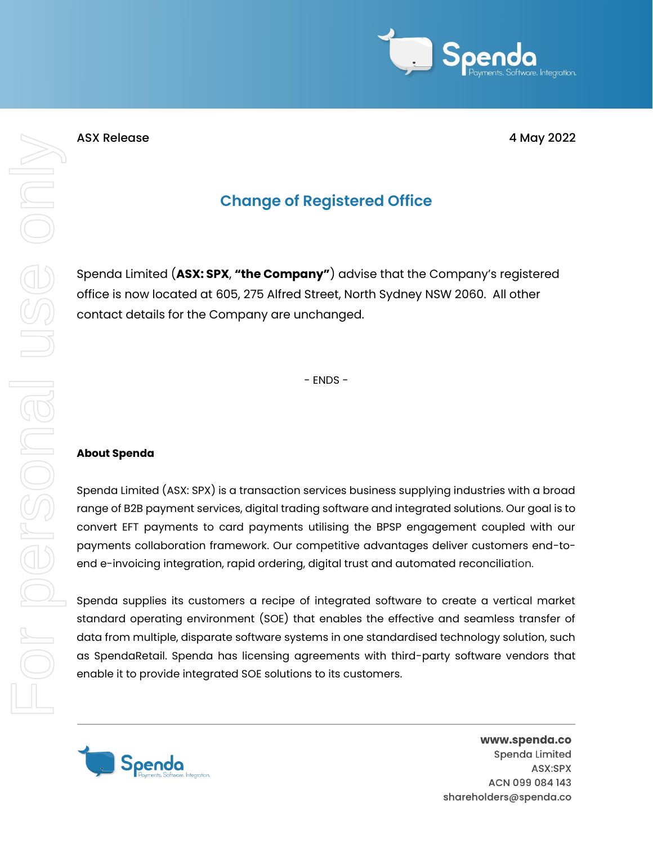

## **Change of Registered Office**

Spenda Limited (**ASX: SPX**, **"the Company"**) advise that the Company's registered office is now located at 605, 275 Alfred Street, North Sydney NSW 2060. All other contact details for the Company are unchanged.

- ENDS -

## **About Spenda**

Spenda Limited (ASX: SPX) is a transaction services business supplying industries with a broad range of B2B payment services, digital trading software and integrated solutions. Our goal is to convert EFT payments to card payments utilising the BPSP engagement coupled with our payments collaboration framework. Our competitive advantages deliver customers end-toend e-invoicing integration, rapid ordering, digital trust and automated reconciliation.

Spenda supplies its customers a recipe of integrated software to create a vertical market standard operating environment (SOE) that enables the effective and seamless transfer of data from multiple, disparate software systems in one standardised technology solution, such as SpendaRetail. Spenda has licensing agreements with third-party software vendors that enable it to provide integrated SOE solutions to its customers.



www.spenda.co Spenda Limited ASX:SPX ACN 099 084 143 shareholders@spenda.co